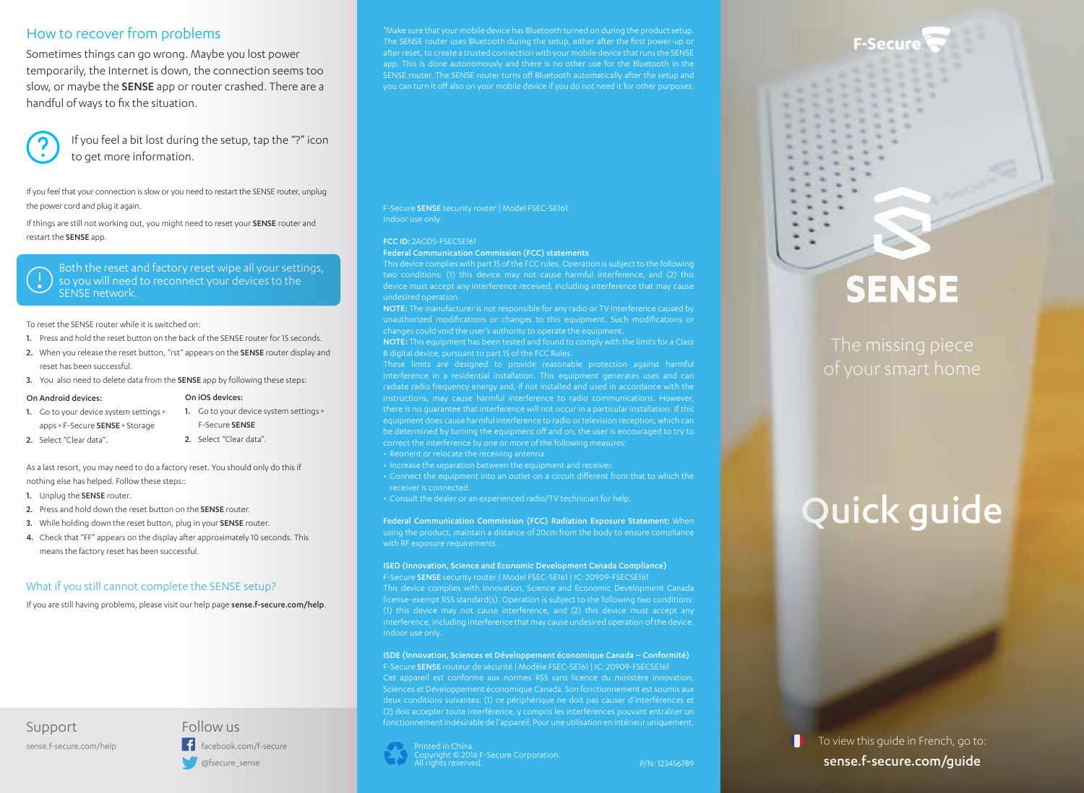# How to recover from problems

Sometimes things can go wrong. Maybe you lost power temporarily, the Internet is down, the connection seems too slow, or maybe the SENSE app or router crashed. There are a handful of ways to fix the situation.



If you feel a bit lost during the setup, tap the "?" icon to get more information.

If you feel that your connection is slow or you need to restart the SENSE router, unplug the power cord and plug it again.

If things are still not working out, you might need to reset your SENSE router and restart the SENSE app.

Both the reset and factory reset wipe all your settings, so you will need to reconnect your devices to the SENSE network.

#### To reset the SENSE router while it is switched on:

- 1. Press and hold the reset button on the back of the SENSE router for 15 seconds.
- 2. When you release the reset button, "rst" appears on the SENSE router display and reset has been successful.
- 3. You also need to delete data from the SENSE app by following these steps:

#### On Android devices:

| 1. Go to your device system settings > |
|----------------------------------------|
| apps > F-Secure SENSE > Storage        |

1. Go to your device system settings > F-Secure SENSE

On iOS devices:

- 2. Select "Clear data".
- 2. Select "Clear data".

As a last resort, you may need to do a factory reset. You should only do this if nothing else has helped. Follow these steps::

- 1. Unplug the SENSE router.
- 2. Press and hold down the reset button on the SENSE router.
- 3. While holding down the reset button, plug in your SENSE router.
- 4. Check that "FF" appears on the display after approximately 10 seconds. This means the factory reset has been successful.

### What if you still cannot complete the SENSE setup?

If you are still having problems, please visit our help page sense.f-secure.com/help.

# Support sense.f-secure.com/help

Follow us  $\left| \cdot \right|$  facebook.com/f-secure @fsecure\_sense

The SENSE router uses Bluetooth during the setup, either after the first power-up or app. This is done autonomously and there is no other use for the Bluetooth in the SENSE router. The SENSE router turns off Bluetooth automatically after the setup and

F-Secure SENSE security router | Model FSEC-SE161 Indoor use only.

#### FCC ID: 2AGD5-FSECSE161

Federal Communication Commission (FCC) statements

This device complies with part 15 of the FCC rules. Operation is subject to the following device must accept any interference received, including interference that may cause undesired operation.

NOTE: The manufacturer is not responsible for any radio or TV interference caused by unauthorized modifications or changes to this equipment. Such modifications or

NOTE: This equipment has been tested and found to comply with the limits for a Class B digital device, pursuant to part 15 of the FCC Rules.

instructions, may cause harmful interference to radio communications. However, there is no guarantee that interference will not occur in a particular installation. If this equipment does cause harmful interference to radio or television reception, which can be determined by turning the equipment off and on, the user is encouraged to try to • Reorient or relocate the receiving antenna.

- 
- Connect the equipment into an outlet on a circuit different from that to which the receiver is connected.

• Consult the dealer or an experienced radio/TV technician for help.

Federal Communication Commission (FCC) Radiation Exposure Statement: When with RF exposure requirements.

ISED (Innovation, Science and Economic Development Canada Compliance) F-Secure SENSE security router | Model FSEC-SE161 | IC: 20909-FSECSE161

This device complies with Innovation, Science and Economic Development Canada license-exempt RSS standard(s). Operation is subject to the following two conditions: (1) this device may not cause interference, and (2) this device must accept any Indoor use only.

ISDE (Innovation, Sciences et Développement économique Canada – Conformité) F-Secure SENSE routeur de sécurité | Modèle FSEC-SE161 | IC: 20909-FSECSE161

Sciences et Développement économique Canada. Son fonctionnement est soumis aux deux conditions suivantes: (1) ce périphérique ne doit pas causer d'interférences et fonctionnement indésirable de l'appareil. Pour une utilisation en intérieur uniquement.

ight © 2016 F-Secure Corporation.





# **SENSE**

# Quick guide

To view this guide in French, go to: sense.f-secure.com/guide